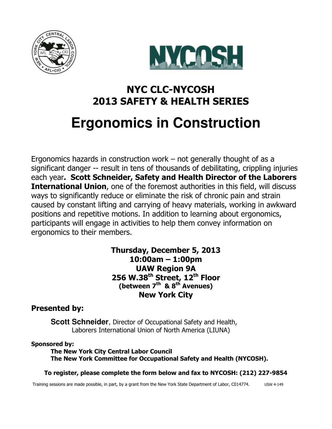



# NYC CLC-NYCOSH 2013 SAFETY & HEALTH SERIES **Ergonomics in Construction**

Ergonomics hazards in construction work – not generally thought of as a significant danger -- result in tens of thousands of debilitating, crippling injuries each year. Scott Schneider, Safety and Health Director of the Laborers **International Union**, one of the foremost authorities in this field, will discuss ways to significantly reduce or eliminate the risk of chronic pain and strain caused by constant lifting and carrying of heavy materials, working in awkward positions and repetitive motions. In addition to learning about ergonomics, participants will engage in activities to help them convey information on ergonomics to their members.

> Thursday, December 5, 2013 10:00am – 1:00pm UAW Region 9A 256 W.38<sup>th</sup> Street, 12<sup>th</sup> Floor (between  $7<sup>th</sup>$  &  $8<sup>th</sup>$  Avenues) New York City

### Presented by:

**Scott Schneider**, Director of Occupational Safety and Health, Laborers International Union of North America (LIUNA)

#### Sponsored by:

The New York City Central Labor Council The New York Committee for Occupational Safety and Health (NYCOSH).

#### To register, please complete the form below and fax to NYCOSH: (212) 227-9854

Training sessions are made possible, in part, by a grant from the New York State Department of Labor, C014774. USW 4-149